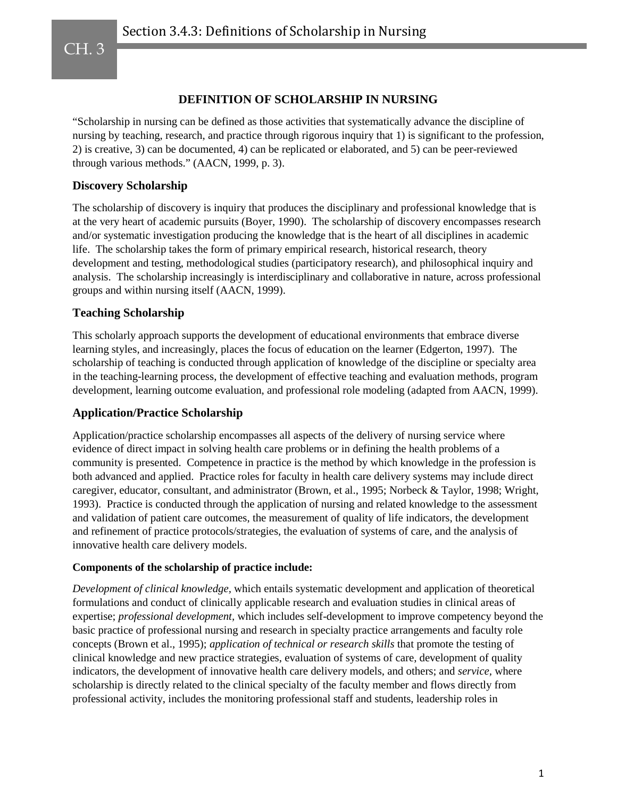CH. 3

## **DEFINITION OF SCHOLARSHIP IN NURSING**

"Scholarship in nursing can be defined as those activities that systematically advance the discipline of nursing by teaching, research, and practice through rigorous inquiry that 1) is significant to the profession, 2) is creative, 3) can be documented, 4) can be replicated or elaborated, and 5) can be peer-reviewed through various methods." (AACN, 1999, p. 3).

### **Discovery Scholarship**

The scholarship of discovery is inquiry that produces the disciplinary and professional knowledge that is at the very heart of academic pursuits (Boyer, 1990). The scholarship of discovery encompasses research and/or systematic investigation producing the knowledge that is the heart of all disciplines in academic life. The scholarship takes the form of primary empirical research, historical research, theory development and testing, methodological studies (participatory research), and philosophical inquiry and analysis. The scholarship increasingly is interdisciplinary and collaborative in nature, across professional groups and within nursing itself (AACN, 1999).

#### **Teaching Scholarship**

This scholarly approach supports the development of educational environments that embrace diverse learning styles, and increasingly, places the focus of education on the learner (Edgerton, 1997). The scholarship of teaching is conducted through application of knowledge of the discipline or specialty area in the teaching-learning process, the development of effective teaching and evaluation methods, program development, learning outcome evaluation, and professional role modeling (adapted from AACN, 1999).

#### **Application/Practice Scholarship**

Application/practice scholarship encompasses all aspects of the delivery of nursing service where evidence of direct impact in solving health care problems or in defining the health problems of a community is presented. Competence in practice is the method by which knowledge in the profession is both advanced and applied. Practice roles for faculty in health care delivery systems may include direct caregiver, educator, consultant, and administrator (Brown, et al., 1995; Norbeck & Taylor, 1998; Wright, 1993). Practice is conducted through the application of nursing and related knowledge to the assessment and validation of patient care outcomes, the measurement of quality of life indicators, the development and refinement of practice protocols/strategies, the evaluation of systems of care, and the analysis of innovative health care delivery models.

#### **Components of the scholarship of practice include:**

*Development of clinical knowledge,* which entails systematic development and application of theoretical formulations and conduct of clinically applicable research and evaluation studies in clinical areas of expertise; *professional development,* which includes self-development to improve competency beyond the basic practice of professional nursing and research in specialty practice arrangements and faculty role concepts (Brown et al., 1995); *application of technical or research skills* that promote the testing of clinical knowledge and new practice strategies, evaluation of systems of care, development of quality indicators, the development of innovative health care delivery models, and others; and *service,* where scholarship is directly related to the clinical specialty of the faculty member and flows directly from professional activity, includes the monitoring professional staff and students, leadership roles in